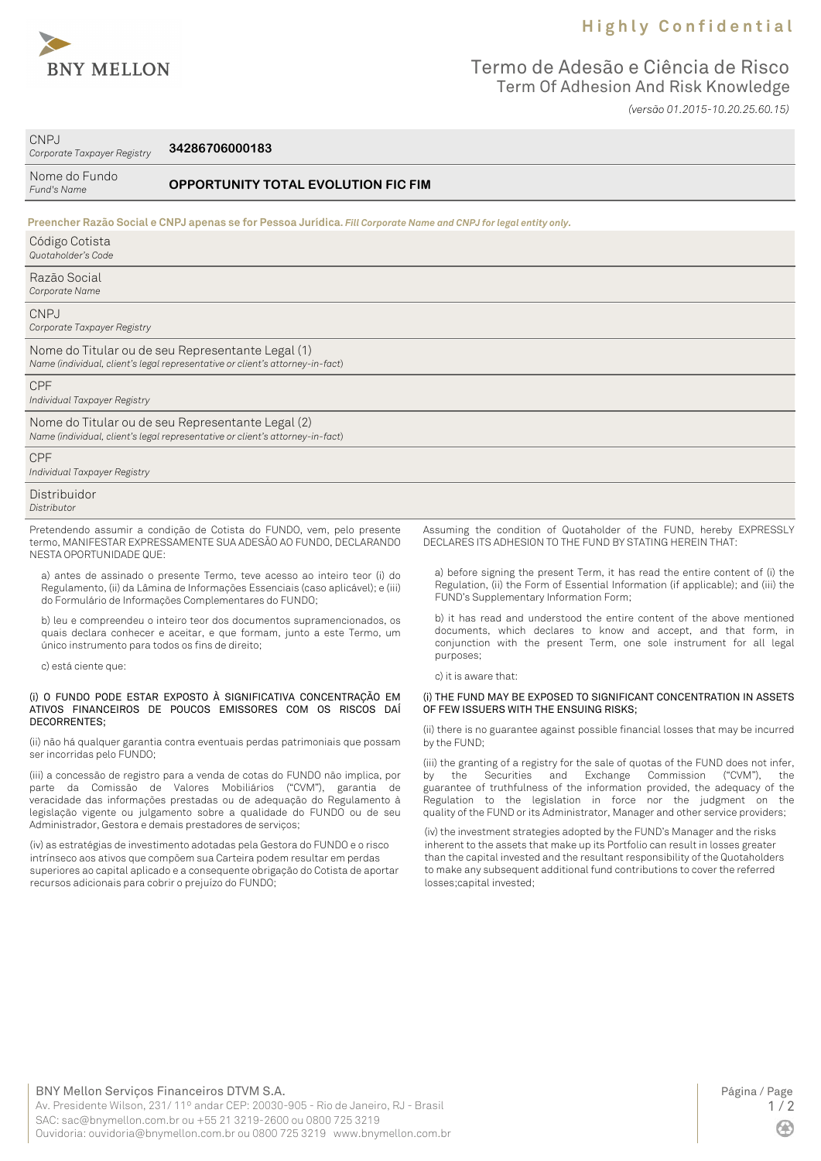

## **H i g h l y C o n f i d e n t i a l**

## Termo de Adesão e Ciência de Risco Term Of Adhesion And Risk Knowledge *(versão 01.2015-10.20.25.60.15)*

CNPJ

*Corporate Taxpayer Registry* **34286706000183**

| Nome do Fundo<br>Fund's Name               | <b>OPPORTUNITY TOTAL EVOLUTION FIC FIM</b>                                                                                         |                                                                     |  |
|--------------------------------------------|------------------------------------------------------------------------------------------------------------------------------------|---------------------------------------------------------------------|--|
|                                            | Preencher Razão Social e CNPJ apenas se for Pessoa Jurídica. Fill Corporate Name and CNPJ for legal entity only.                   |                                                                     |  |
| Código Cotista<br>Quotaholder's Code       |                                                                                                                                    |                                                                     |  |
| Razão Social<br>Corporate Name             |                                                                                                                                    |                                                                     |  |
| <b>CNPJ</b><br>Corporate Taxpayer Registry |                                                                                                                                    |                                                                     |  |
|                                            | Nome do Titular ou de seu Representante Legal (1)<br>Name (individual, client's legal representative or client's attorney-in-fact) |                                                                     |  |
| <b>CPF</b><br>Individual Taxpayer Registry |                                                                                                                                    |                                                                     |  |
|                                            | Nome do Titular ou de seu Representante Legal (2)<br>Name (individual, client's legal representative or client's attorney-in-fact) |                                                                     |  |
| <b>CPF</b><br>Individual Taxpayer Registry |                                                                                                                                    |                                                                     |  |
| Distribuidor<br>Distributor                |                                                                                                                                    |                                                                     |  |
|                                            | Pretendendo assumir a condição de Cotista do FUNDO, vem, pelo presente                                                             | Assuming the condition of Quotaholder of the FUND, hereby EXPRESSLY |  |

termo, MANIFESTAR EXPRESSAMENTE SUA ADESÃO AO FUNDO, DECLARANDO NESTA OPORTUNIDADE QUE:

a) antes de assinado o presente Termo, teve acesso ao inteiro teor (i) do Regulamento, (ii) da Lâmina de Informações Essenciais (caso aplicável); e (iii) do Formulário de Informações Complementares do FUNDO;

b) leu e compreendeu o inteiro teor dos documentos supramencionados, os quais declara conhecer e aceitar, e que formam, junto a este Termo, um único instrumento para todos os fins de direito;

c) está ciente que:

#### (i) O FUNDO PODE ESTAR EXPOSTO À SIGNIFICATIVA CONCENTRAÇÃO EM ATIVOS FINANCEIROS DE POUCOS EMISSORES COM OS RISCOS DAÍ DECORRENTES;

(ii) não há qualquer garantia contra eventuais perdas patrimoniais que possam ser incorridas pelo FUNDO;

(iii) a concessão de registro para a venda de cotas do FUNDO não implica, por parte da Comissão de Valores Mobiliários ("CVM"), garantia de veracidade das informações prestadas ou de adequação do Regulamento à legislação vigente ou julgamento sobre a qualidade do FUNDO ou de seu Administrador, Gestora e demais prestadores de serviços;

(iv) as estratégias de investimento adotadas pela Gestora do FUNDO e o risco intrínseco aos ativos que compõem sua Carteira podem resultar em perdas superiores ao capital aplicado e a consequente obrigação do Cotista de aportar recursos adicionais para cobrir o prejuízo do FUNDO;

Assuming the condition of Quotaholder of the FUND, hereby EXPRESSLY DECLARES ITS ADHESION TO THE FUND BY STATING HEREIN THAT:

a) before signing the present Term, it has read the entire content of (i) the Regulation, (ii) the Form of Essential Information (if applicable); and (iii) the FUND's Supplementary Information Form;

b) it has read and understood the entire content of the above mentioned documents, which declares to know and accept, and that form, in conjunction with the present Term, one sole instrument for all legal purposes;

c) it is aware that:

### (i) THE FUND MAY BE EXPOSED TO SIGNIFICANT CONCENTRATION IN ASSETS OF FEW ISSUERS WITH THE ENSUING RISKS;

(ii) there is no guarantee against possible financial losses that may be incurred by the FUND;

(iii) the granting of a registry for the sale of quotas of the FUND does not infer,<br>by the Securities and Exchange Commission ("CVM"), the by the Securities and Exchange Commission ("CVM"), guarantee of truthfulness of the information provided, the adequacy of the Regulation to the legislation in force nor the judgment on the quality of the FUND or its Administrator, Manager and other service providers;

(iv) the investment strategies adopted by the FUND's Manager and the risks inherent to the assets that make up its Portfolio can result in losses greater than the capital invested and the resultant responsibility of the Quotaholders to make any subsequent additional fund contributions to cover the referred losses;capital invested;